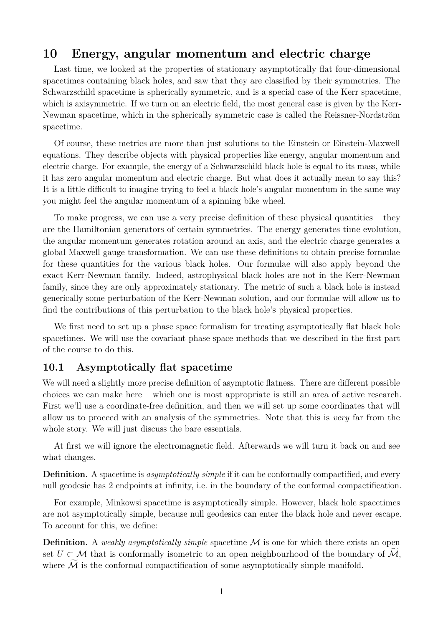# **10 Energy, angular momentum and electric charge**

Last time, we looked at the properties of stationary asymptotically flat four-dimensional spacetimes containing black holes, and saw that they are classified by their symmetries. The Schwarzschild spacetime is spherically symmetric, and is a special case of the Kerr spacetime, which is axisymmetric. If we turn on an electric field, the most general case is given by the Kerr-Newman spacetime, which in the spherically symmetric case is called the Reissner-Nordström spacetime.

Of course, these metrics are more than just solutions to the Einstein or Einstein-Maxwell equations. They describe objects with physical properties like energy, angular momentum and electric charge. For example, the energy of a Schwarzschild black hole is equal to its mass, while it has zero angular momentum and electric charge. But what does it actually mean to say this? It is a little difficult to imagine trying to feel a black hole's angular momentum in the same way you might feel the angular momentum of a spinning bike wheel.

To make progress, we can use a very precise definition of these physical quantities – they are the Hamiltonian generators of certain symmetries. The energy generates time evolution, the angular momentum generates rotation around an axis, and the electric charge generates a global Maxwell gauge transformation. We can use these definitions to obtain precise formulae for these quantities for the various black holes. Our formulae will also apply beyond the exact Kerr-Newman family. Indeed, astrophysical black holes are not in the Kerr-Newman family, since they are only approximately stationary. The metric of such a black hole is instead generically some perturbation of the Kerr-Newman solution, and our formulae will allow us to find the contributions of this perturbation to the black hole's physical properties.

We first need to set up a phase space formalism for treating asymptotically flat black hole spacetimes. We will use the covariant phase space methods that we described in the first part of the course to do this.

## **10.1 Asymptotically flat spacetime**

We will need a slightly more precise definition of asymptotic flatness. There are different possible choices we can make here – which one is most appropriate is still an area of active research. First we'll use a coordinate-free definition, and then we will set up some coordinates that will allow us to proceed with an analysis of the symmetries. Note that this is *very* far from the whole story. We will just discuss the bare essentials.

At first we will ignore the electromagnetic field. Afterwards we will turn it back on and see what changes.

**Definition.** A spacetime is *asymptotically simple* if it can be conformally compactified, and every null geodesic has 2 endpoints at infinity, i.e. in the boundary of the conformal compactification.

For example, Minkowsi spacetime is asymptotically simple. However, black hole spacetimes are not asymptotically simple, because null geodesics can enter the black hole and never escape. To account for this, we define:

**Definition.** A *weakly asymptotically simple* spacetime M is one for which there exists an open set  $U \subset \mathcal{M}$  that is conformally isometric to an open neighbourhood of the boundary of  $\mathcal{M},$ where  $\widetilde{\mathcal{M}}$  is the conformal compactification of some asymptotically simple manifold.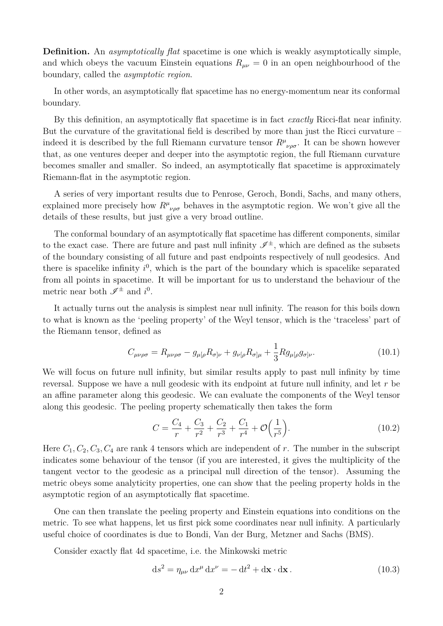**Definition.** An *asymptotically flat* spacetime is one which is weakly asymptotically simple, and which obeys the vacuum Einstein equations  $R_{\mu\nu} = 0$  in an open neighbourhood of the boundary, called the *asymptotic region*.

In other words, an asymptotically flat spacetime has no energy-momentum near its conformal boundary.

By this definition, an asymptotically flat spacetime is in fact *exactly* Ricci-flat near infinity. But the curvature of the gravitational field is described by more than just the Ricci curvature – indeed it is described by the full Riemann curvature tensor  $R^{\mu}{}_{\nu\rho\sigma}$ . It can be shown however that, as one ventures deeper and deeper into the asymptotic region, the full Riemann curvature becomes smaller and smaller. So indeed, an asymptotically flat spacetime is approximately Riemann-flat in the asymptotic region.

A series of very important results due to Penrose, Geroch, Bondi, Sachs, and many others, explained more precisely how  $R^{\mu}{}_{\nu\rho\sigma}$  behaves in the asymptotic region. We won't give all the details of these results, but just give a very broad outline.

The conformal boundary of an asymptotically flat spacetime has different components, similar to the exact case. There are future and past null infinity  $\mathscr{I}^{\pm}$ , which are defined as the subsets of the boundary consisting of all future and past endpoints respectively of null geodesics. And there is spacelike infinity  $i^0$ , which is the part of the boundary which is spacelike separated from all points in spacetime. It will be important for us to understand the behaviour of the metric near both  $\mathscr{I}^{\pm}$  and  $i^{0}$ .

It actually turns out the analysis is simplest near null infinity. The reason for this boils down to what is known as the 'peeling property' of the Weyl tensor, which is the 'traceless' part of the Riemann tensor, defined as

$$
C_{\mu\nu\rho\sigma} = R_{\mu\nu\rho\sigma} - g_{\mu[\rho}R_{\sigma]\nu} + g_{\nu[\rho}R_{\sigma]\mu} + \frac{1}{3}Rg_{\mu[\rho}g_{\sigma]\nu}.
$$
\n(10.1)

We will focus on future null infinity, but similar results apply to past null infinity by time reversal. Suppose we have a null geodesic with its endpoint at future null infinity, and let *r* be an affine parameter along this geodesic. We can evaluate the components of the Weyl tensor along this geodesic. The peeling property schematically then takes the form

$$
C = \frac{C_4}{r} + \frac{C_3}{r^2} + \frac{C_2}{r^3} + \frac{C_1}{r^4} + \mathcal{O}\left(\frac{1}{r^5}\right).
$$
 (10.2)

Here  $C_1, C_2, C_3, C_4$  are rank 4 tensors which are independent of r. The number in the subscript indicates some behaviour of the tensor (if you are interested, it gives the multiplicity of the tangent vector to the geodesic as a principal null direction of the tensor). Assuming the metric obeys some analyticity properties, one can show that the peeling property holds in the asymptotic region of an asymptotically flat spacetime.

One can then translate the peeling property and Einstein equations into conditions on the metric. To see what happens, let us first pick some coordinates near null infinity. A particularly useful choice of coordinates is due to Bondi, Van der Burg, Metzner and Sachs (BMS).

Consider exactly flat 4d spacetime, i.e. the Minkowski metric

$$
ds^{2} = \eta_{\mu\nu} dx^{\mu} dx^{\nu} = -dt^{2} + d\mathbf{x} \cdot d\mathbf{x}.
$$
 (10.3)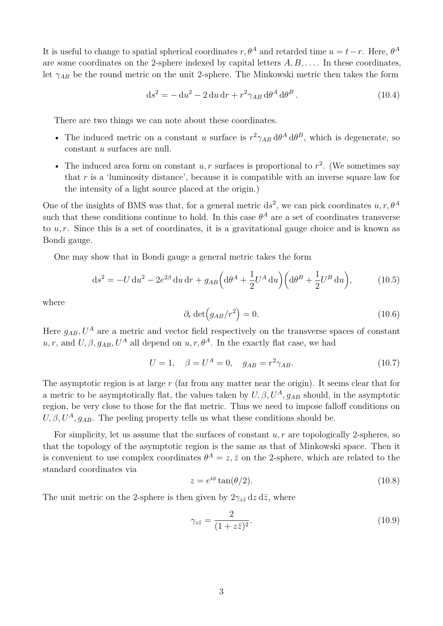It is useful to change to spatial spherical coordinates  $r, \theta^A$  and retarded time  $u = t - r$ . Here,  $\theta^A$ are some coordinates on the 2-sphere indexed by capital letters *A, B, . . .* . In these coordinates, let *γAB* be the round metric on the unit 2-sphere. The Minkowski metric then takes the form

$$
ds2 = -du2 - 2du dr + r2 \gamma_{AB} d\thetaA d\thetaB.
$$
 (10.4)

There are two things we can note about these coordinates.

- The induced metric on a constant *u* surface is  $r^2 \gamma_{AB} d\theta^A d\theta^B$ , which is degenerate, so constant *u* surfaces are null.
- The induced area form on constant  $u, r$  surfaces is proportional to  $r^2$ . (We sometimes say that *r* is a 'luminosity distance', because it is compatible with an inverse square law for the intensity of a light source placed at the origin.)

One of the insights of BMS was that, for a general metric  $ds^2$ , we can pick coordinates  $u, r, \theta^A$ such that these conditions continue to hold. In this case  $\theta^A$  are a set of coordinates transverse to *u, r*. Since this is a set of coordinates, it is a gravitational gauge choice and is known as Bondi gauge.

One may show that in Bondi gauge a general metric takes the form

$$
ds^{2} = -U du^{2} - 2e^{2\beta} du dr + g_{AB} \left( d\theta^{A} + \frac{1}{2} U^{A} du \right) \left( d\theta^{B} + \frac{1}{2} U^{B} du \right), \tag{10.5}
$$

where

$$
\partial_r \det \left( g_{AB} / r^2 \right) = 0. \tag{10.6}
$$

Here  $q_{AB}$ ,  $U^A$  are a metric and vector field respectively on the transverse spaces of constant *u, r,* and  $U, \beta, g_{AB}, U^A$  all depend on  $u, r, \theta^A$ . In the exactly flat case, we had

$$
U = 1, \quad \beta = U^A = 0, \quad g_{AB} = r^2 \gamma_{AB}.
$$
 (10.7)

The asymptotic region is at large *r* (far from any matter near the origin). It seems clear that for a metric to be asymptotically flat, the values taken by  $U, \beta, U^A, g_{AB}$  should, in the asymptotic region, be very close to those for the flat metric. Thus we need to impose falloff conditions on  $U, \beta, U^A, g_{AB}$ . The peeling property tells us what these conditions should be.

For simplicity, let us assume that the surfaces of constant *u, r* are topologically 2-spheres, so that the topology of the asymptotic region is the same as that of Minkowski space. Then it is convenient to use complex coordinates  $\theta^A = z, \bar{z}$  on the 2-sphere, which are related to the standard coordinates via

$$
z = e^{i\phi} \tan(\theta/2). \tag{10.8}
$$

The unit metric on the 2-sphere is then given by  $2\gamma_{z\bar{z}}\,dz\,d\bar{z}$ , where

$$
\gamma_{z\bar{z}} = \frac{2}{(1+z\bar{z})^2}.\tag{10.9}
$$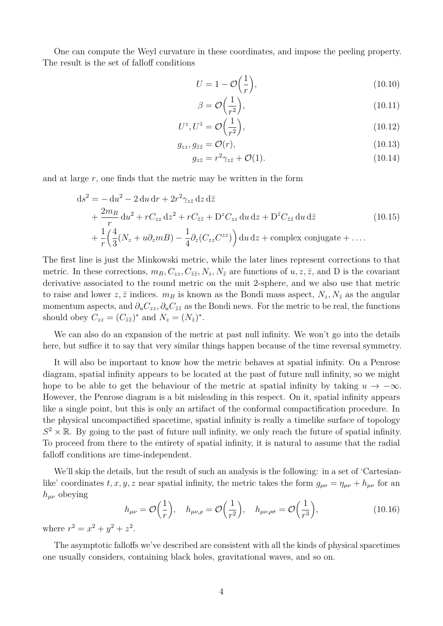One can compute the Weyl curvature in these coordinates, and impose the peeling property. The result is the set of falloff conditions

$$
U = 1 - \mathcal{O}\left(\frac{1}{r}\right),\tag{10.10}
$$

$$
\beta = \mathcal{O}\left(\frac{1}{r^2}\right),\tag{10.11}
$$

$$
U^z, U^{\bar{z}} = \mathcal{O}\left(\frac{1}{r^2}\right),\tag{10.12}
$$

$$
g_{zz}, g_{\bar{z}\bar{z}} = \mathcal{O}(r),\tag{10.13}
$$

$$
g_{z\bar{z}} = r^2 \gamma_{z\bar{z}} + \mathcal{O}(1). \tag{10.14}
$$

and at large  $r$ , one finds that the metric may be written in the form

$$
ds^{2} = -du^{2} - 2 du dr + 2r^{2}\gamma_{z\bar{z}} dz d\bar{z}
$$
  
+ 
$$
\frac{2m_{B}}{r} du^{2} + rC_{zz} dz^{2} + rC_{\bar{z}\bar{z}} + D^{z}C_{zz} du dz + D^{\bar{z}}C_{\bar{z}\bar{z}} du d\bar{z}
$$
  
+ 
$$
\frac{1}{r} \left( \frac{4}{3} (N_{z} + u\partial_{z} mB) - \frac{1}{4} \partial_{z} (C_{zz} C^{zz}) \right) du dz + \text{complex conjugate} + ...
$$
  
(10.15)

The first line is just the Minkowski metric, while the later lines represent corrections to that metric. In these corrections,  $m_B, C_{zz}, C_{\bar{z}\bar{z}}, N_z, N_{\bar{z}}$  are functions of  $u, z, \bar{z}$ , and D is the covariant derivative associated to the round metric on the unit 2-sphere, and we also use that metric to raise and lower  $z, \bar{z}$  indices.  $m_B$  is known as the Bondi mass aspect,  $N_z, N_{\bar{z}}$  as the angular momentum aspects, and  $\partial_u C_{zz}$ ,  $\partial_u C_{\bar{z}\bar{z}}$  as the Bondi news. For the metric to be real, the functions should obey  $C_{zz} = (C_{\bar{z}\bar{z}})^*$  and  $N_z = (N_{\bar{z}})^*$ .

We can also do an expansion of the metric at past null infinity. We won't go into the details here, but suffice it to say that very similar things happen because of the time reversal symmetry.

It will also be important to know how the metric behaves at spatial infinity. On a Penrose diagram, spatial infinity appears to be located at the past of future null infinity, so we might hope to be able to get the behaviour of the metric at spatial infinity by taking  $u \to -\infty$ . However, the Penrose diagram is a bit misleading in this respect. On it, spatial infinity appears like a single point, but this is only an artifact of the conformal compactification procedure. In the physical uncompactified spacetime, spatial infinity is really a timelike surface of topology  $S^2 \times \mathbb{R}$ . By going to the past of future null infinity, we only reach the future of spatial infinity. To proceed from there to the entirety of spatial infinity, it is natural to assume that the radial falloff conditions are time-independent.

We'll skip the details, but the result of such an analysis is the following: in a set of 'Cartesianlike' coordinates  $t, x, y, z$  near spatial infinity, the metric takes the form  $g_{\mu\nu} = \eta_{\mu\nu} + h_{\mu\nu}$  for an  $h_{\mu\nu}$  obeying

$$
h_{\mu\nu} = \mathcal{O}\left(\frac{1}{r}\right), \quad h_{\mu\nu,\rho} = \mathcal{O}\left(\frac{1}{r^2}\right), \quad h_{\mu\nu,\rho\sigma} = \mathcal{O}\left(\frac{1}{r^3}\right),\tag{10.16}
$$

where  $r^2 = x^2 + y^2 + z^2$ .

The asymptotic falloffs we've described are consistent with all the kinds of physical spacetimes one usually considers, containing black holes, gravitational waves, and so on.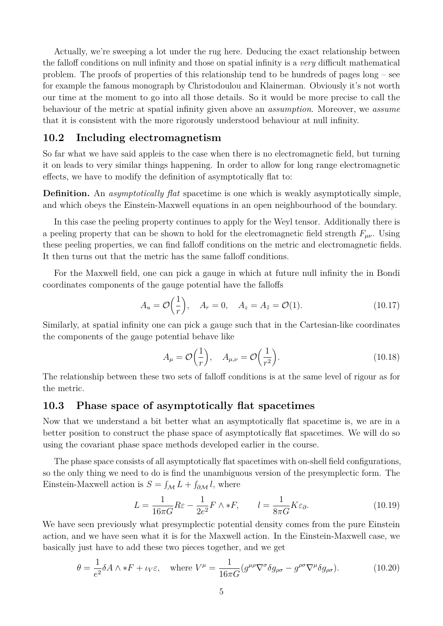Actually, we're sweeping a lot under the rug here. Deducing the exact relationship between the falloff conditions on null infinity and those on spatial infinity is a *very* difficult mathematical problem. The proofs of properties of this relationship tend to be hundreds of pages long – see for example the famous monograph by Christodoulou and Klainerman. Obviously it's not worth our time at the moment to go into all those details. So it would be more precise to call the behaviour of the metric at spatial infinity given above an *assumption*. Moreover, we *assume* that it is consistent with the more rigorously understood behaviour at null infinity.

### **10.2 Including electromagnetism**

So far what we have said appleis to the case when there is no electromagnetic field, but turning it on leads to very similar things happening. In order to allow for long range electromagnetic effects, we have to modify the definition of asymptotically flat to:

**Definition.** An *asymptotically flat* spacetime is one which is weakly asymptotically simple, and which obeys the Einstein-Maxwell equations in an open neighbourhood of the boundary.

In this case the peeling property continues to apply for the Weyl tensor. Additionally there is a peeling property that can be shown to hold for the electromagnetic field strength  $F_{\mu\nu}$ . Using these peeling properties, we can find falloff conditions on the metric and electromagnetic fields. It then turns out that the metric has the same falloff conditions.

For the Maxwell field, one can pick a gauge in which at future null infinity the in Bondi coordinates components of the gauge potential have the falloffs

$$
A_u = \mathcal{O}\left(\frac{1}{r}\right), \quad A_r = 0, \quad A_z = A_{\bar{z}} = \mathcal{O}(1). \tag{10.17}
$$

Similarly, at spatial infinity one can pick a gauge such that in the Cartesian-like coordinates the components of the gauge potential behave like

$$
A_{\mu} = \mathcal{O}\left(\frac{1}{r}\right), \quad A_{\mu,\nu} = \mathcal{O}\left(\frac{1}{r^2}\right). \tag{10.18}
$$

The relationship between these two sets of falloff conditions is at the same level of rigour as for the metric.

#### **10.3 Phase space of asymptotically flat spacetimes**

Now that we understand a bit better what an asymptotically flat spacetime is, we are in a better position to construct the phase space of asymptotically flat spacetimes. We will do so using the covariant phase space methods developed earlier in the course.

The phase space consists of all asymptotically flat spacetimes with on-shell field configurations, so the only thing we need to do is find the unambiguous version of the presymplectic form. The Einstein-Maxwell action is  $S = \int_{\mathcal{M}} L + \int_{\partial \mathcal{M}} l$ , where

$$
L = \frac{1}{16\pi G} R \varepsilon - \frac{1}{2e^2} F \wedge *F, \qquad l = \frac{1}{8\pi G} K \varepsilon_{\partial}.
$$
 (10.19)

We have seen previously what presymplectic potential density comes from the pure Einstein action, and we have seen what it is for the Maxwell action. In the Einstein-Maxwell case, we basically just have to add these two pieces together, and we get

$$
\theta = \frac{1}{e^2} \delta A \wedge *F + \iota_V \varepsilon, \quad \text{where } V^{\mu} = \frac{1}{16\pi G} (g^{\mu\rho} \nabla^{\sigma} \delta g_{\rho\sigma} - g^{\rho\sigma} \nabla^{\mu} \delta g_{\rho\sigma}). \tag{10.20}
$$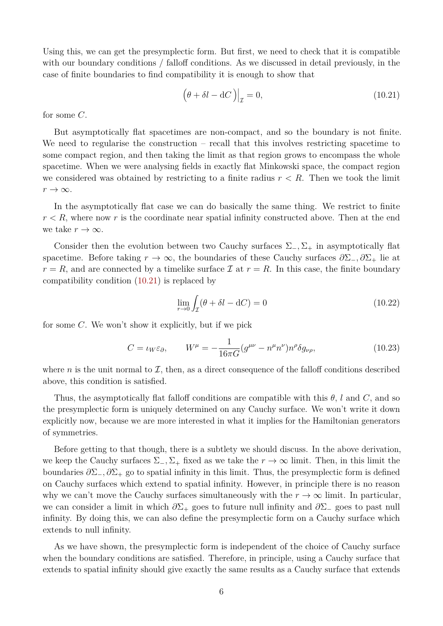Using this, we can get the presymplectic form. But first, we need to check that it is compatible with our boundary conditions / falloff conditions. As we discussed in detail previously, in the case of finite boundaries to find compatibility it is enough to show that

<span id="page-5-0"></span>
$$
\left(\theta + \delta l - \mathrm{d}C\right)\big|_{\mathcal{I}} = 0,\tag{10.21}
$$

for some *C*.

But asymptotically flat spacetimes are non-compact, and so the boundary is not finite. We need to regularise the construction – recall that this involves restricting spacetime to some compact region, and then taking the limit as that region grows to encompass the whole spacetime. When we were analysing fields in exactly flat Minkowski space, the compact region we considered was obtained by restricting to a finite radius  $r < R$ . Then we took the limit  $r \rightarrow \infty$ .

In the asymptotically flat case we can do basically the same thing. We restrict to finite  $r < R$ , where now *r* is the coordinate near spatial infinity constructed above. Then at the end we take  $r \to \infty$ .

Consider then the evolution between two Cauchy surfaces  $\Sigma_-, \Sigma_+$  in asymptotically flat spacetime. Before taking *r* → ∞, the boundaries of these Cauchy surfaces *∂*Σ−*, ∂*Σ<sup>+</sup> lie at  $r = R$ , and are connected by a timelike surface  $\mathcal I$  at  $r = R$ . In this case, the finite boundary compatibility condition [\(10.21\)](#page-5-0) is replaced by

$$
\lim_{r \to 0} \int_{\mathcal{I}} (\theta + \delta l - \mathrm{d}C) = 0 \tag{10.22}
$$

for some *C*. We won't show it explicitly, but if we pick

$$
C = \iota_W \varepsilon_\partial, \qquad W^\mu = -\frac{1}{16\pi G} (g^{\mu\nu} - n^\mu n^\nu) n^\rho \delta g_{\nu\rho}, \tag{10.23}
$$

where *n* is the unit normal to  $I$ , then, as a direct consequence of the falloff conditions described above, this condition is satisfied.

Thus, the asymptotically flat falloff conditions are compatible with this  $\theta$ , *l* and *C*, and so the presymplectic form is uniquely determined on any Cauchy surface. We won't write it down explicitly now, because we are more interested in what it implies for the Hamiltonian generators of symmetries.

Before getting to that though, there is a subtlety we should discuss. In the above derivation, we keep the Cauchy surfaces  $\Sigma_-, \Sigma_+$  fixed as we take the  $r \to \infty$  limit. Then, in this limit the boundaries *∂*Σ−*, ∂*Σ<sup>+</sup> go to spatial infinity in this limit. Thus, the presymplectic form is defined on Cauchy surfaces which extend to spatial infinity. However, in principle there is no reason why we can't move the Cauchy surfaces simultaneously with the  $r \to \infty$  limit. In particular, we can consider a limit in which *∂*Σ<sup>+</sup> goes to future null infinity and *∂*Σ<sup>−</sup> goes to past null infinity. By doing this, we can also define the presymplectic form on a Cauchy surface which extends to null infinity.

As we have shown, the presymplectic form is independent of the choice of Cauchy surface when the boundary conditions are satisfied. Therefore, in principle, using a Cauchy surface that extends to spatial infinity should give exactly the same results as a Cauchy surface that extends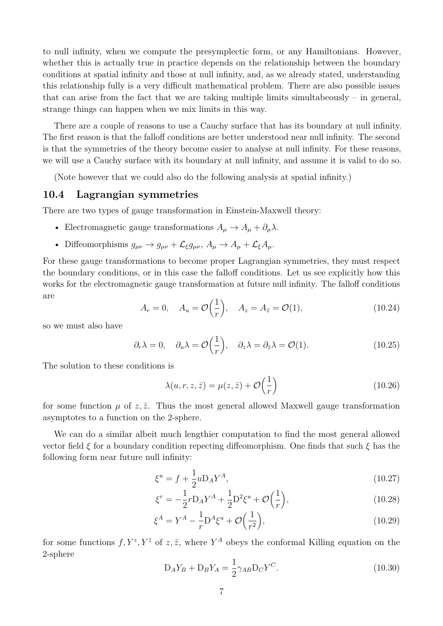to null infinity, when we compute the presymplectic form, or any Hamiltonians. However, whether this is actually true in practice depends on the relationship between the boundary conditions at spatial infinity and those at null infinity, and, as we already stated, understanding this relationship fully is a very difficult mathematical problem. There are also possible issues that can arise from the fact that we are taking multiple limits simultabeously – in general, strange things can happen when we mix limits in this way.

There are a couple of reasons to use a Cauchy surface that has its boundary at null infinity. The first reason is that the falloff conditions are better understood near null infinity. The second is that the symmetries of the theory become easier to analyse at null infinity. For these reasons, we will use a Cauchy surface with its boundary at null infinity, and assume it is valid to do so.

(Note however that we could also do the following analysis at spatial infinity.)

#### **10.4 Lagrangian symmetries**

There are two types of gauge transformation in Einstein-Maxwell theory:

- Electromagnetic gauge transformations  $A_\mu \to A_\mu + \partial_\mu \lambda$ .
- Diffeomorphisms  $g_{\mu\nu} \to g_{\mu\nu} + \mathcal{L}_{\xi} g_{\mu\nu}, A_{\mu} \to A_{\mu} + \mathcal{L}_{\xi} A_{\mu}$ .

For these gauge transformations to become proper Lagrangian symmetries, they must respect the boundary conditions, or in this case the falloff conditions. Let us see explicitly how this works for the electromagnetic gauge transformation at future null infinity. The falloff conditions are

$$
A_r = 0, \quad A_u = \mathcal{O}\left(\frac{1}{r}\right), \quad A_z = A_{\bar{z}} = \mathcal{O}(1), \tag{10.24}
$$

so we must also have

$$
\partial_r \lambda = 0, \quad \partial_u \lambda = \mathcal{O}\left(\frac{1}{r}\right), \quad \partial_z \lambda = \partial_{\bar{z}} \lambda = \mathcal{O}(1).
$$
 (10.25)

The solution to these conditions is

$$
\lambda(u, r, z, \bar{z}) = \mu(z, \bar{z}) + \mathcal{O}\left(\frac{1}{r}\right)
$$
\n(10.26)

for some function  $\mu$  of  $z, \bar{z}$ . Thus the most general allowed Maxwell gauge transformation asymptotes to a function on the 2-sphere.

We can do a similar albeit much lengthier computation to find the most general allowed vector field *ξ* for a boundary condition repecting diffeomorphism. One finds that such *ξ* has the following form near future null infinity:

$$
\xi^u = f + \frac{1}{2} u D_A Y^A,\tag{10.27}
$$

$$
\xi^r = -\frac{1}{2}r D_A Y^A + \frac{1}{2}D^2 \xi^u + \mathcal{O}\left(\frac{1}{r}\right),\tag{10.28}
$$

$$
\xi^A = Y^A - \frac{1}{r} \mathcal{D}^A \xi^u + \mathcal{O}\left(\frac{1}{r^2}\right),\tag{10.29}
$$

for some functions  $f, Y^z, Y^{\bar{z}}$  of  $z, \bar{z}$ , where  $Y^A$  obeys the conformal Killing equation on the 2-sphere

$$
D_A Y_B + D_B Y_A = \frac{1}{2} \gamma_{AB} D_C Y^C.
$$
\n(10.30)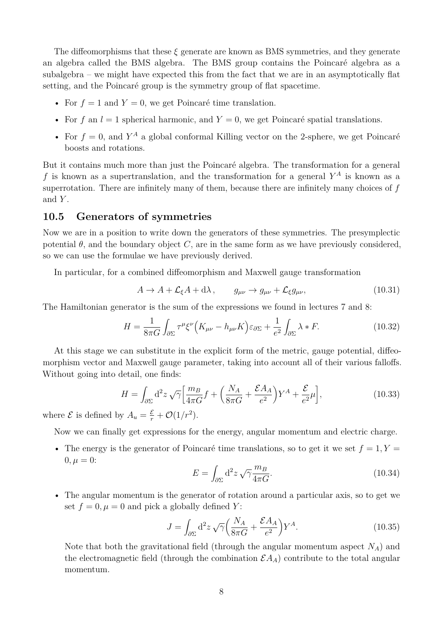The diffeomorphisms that these *ξ* generate are known as BMS symmetries, and they generate an algebra called the BMS algebra. The BMS group contains the Poincaré algebra as a subalgebra – we might have expected this from the fact that we are in an asymptotically flat setting, and the Poincaré group is the symmetry group of flat spacetime.

- For  $f = 1$  and  $Y = 0$ , we get Poincaré time translation.
- For  $f$  an  $l = 1$  spherical harmonic, and  $Y = 0$ , we get Poincaré spatial translations.
- For  $f = 0$ , and  $Y^A$  a global conformal Killing vector on the 2-sphere, we get Poincaré boosts and rotations.

But it contains much more than just the Poincaré algebra. The transformation for a general *f* is known as a supertranslation, and the transformation for a general *Y <sup>A</sup>* is known as a superrotation. There are infinitely many of them, because there are infinitely many choices of *f* and *Y* .

#### **10.5 Generators of symmetries**

Now we are in a position to write down the generators of these symmetries. The presymplectic potential  $\theta$ , and the boundary object *C*, are in the same form as we have previously considered, so we can use the formulae we have previously derived.

In particular, for a combined diffeomorphism and Maxwell gauge transformation

$$
A \to A + \mathcal{L}_{\xi}A + d\lambda, \qquad g_{\mu\nu} \to g_{\mu\nu} + \mathcal{L}_{\xi}g_{\mu\nu}, \tag{10.31}
$$

The Hamiltonian generator is the sum of the expressions we found in lectures 7 and 8:

$$
H = \frac{1}{8\pi G} \int_{\partial \Sigma} \tau^{\mu} \xi^{\nu} \Big( K_{\mu\nu} - h_{\mu\nu} K \Big) \varepsilon_{\partial \Sigma} + \frac{1}{e^2} \int_{\partial \Sigma} \lambda * F. \tag{10.32}
$$

At this stage we can substitute in the explicit form of the metric, gauge potential, diffeomorphism vector and Maxwell gauge parameter, taking into account all of their various falloffs. Without going into detail, one finds:

$$
H = \int_{\partial \Sigma} d^2 z \sqrt{\gamma} \left[ \frac{m_B}{4\pi G} f + \left( \frac{N_A}{8\pi G} + \frac{\mathcal{E}A_A}{e^2} \right) Y^A + \frac{\mathcal{E}}{e^2} \mu \right],\tag{10.33}
$$

where  $\mathcal{E}$  is defined by  $A_u = \frac{\mathcal{E}}{r} + \mathcal{O}(1/r^2)$ .

Now we can finally get expressions for the energy, angular momentum and electric charge.

• The energy is the generator of Poincaré time translations, so to get it we set  $f = 1, Y =$  $0, \mu = 0$ :

$$
E = \int_{\partial \Sigma} d^2 z \sqrt{\gamma} \frac{m_B}{4\pi G}.
$$
 (10.34)

• The angular momentum is the generator of rotation around a particular axis, so to get we set  $f = 0, \mu = 0$  and pick a globally defined *Y*:

$$
J = \int_{\partial \Sigma} d^2 z \sqrt{\gamma} \left( \frac{N_A}{8\pi G} + \frac{\mathcal{E}A_A}{e^2} \right) Y^A.
$$
 (10.35)

Note that both the gravitational field (through the angular momentum aspect *NA*) and the electromagnetic field (through the combination  $\mathcal{E}A_A$ ) contribute to the total angular momentum.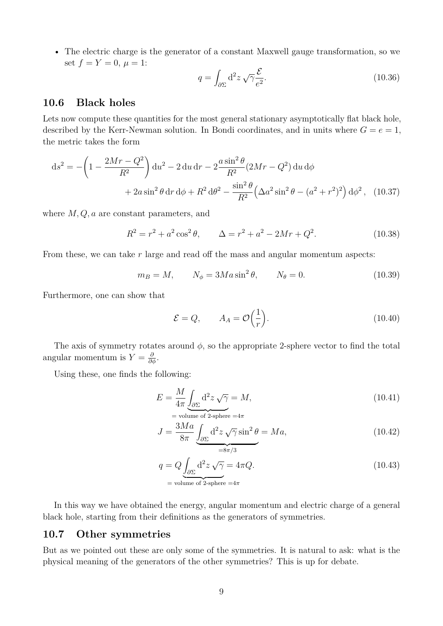• The electric charge is the generator of a constant Maxwell gauge transformation, so we set  $f = Y = 0, \mu = 1$ :

$$
q = \int_{\partial \Sigma} d^2 z \sqrt{\gamma} \frac{\mathcal{E}}{e^2}.
$$
 (10.36)

## **10.6 Black holes**

Lets now compute these quantities for the most general stationary asymptotically flat black hole, described by the Kerr-Newman solution. In Bondi coordinates, and in units where  $G = e = 1$ , the metric takes the form

$$
ds^{2} = -\left(1 - \frac{2Mr - Q^{2}}{R^{2}}\right)du^{2} - 2 du dr - 2\frac{a \sin^{2}\theta}{R^{2}}(2Mr - Q^{2}) du d\phi
$$

$$
+ 2a \sin^{2}\theta dr d\phi + R^{2} d\theta^{2} - \frac{\sin^{2}\theta}{R^{2}}\left(\Delta a^{2} \sin^{2}\theta - (a^{2} + r^{2})^{2}\right)d\phi^{2}, \quad (10.37)
$$

where *M, Q, a* are constant parameters, and

$$
R^{2} = r^{2} + a^{2} \cos^{2} \theta, \qquad \Delta = r^{2} + a^{2} - 2Mr + Q^{2}.
$$
 (10.38)

From these, we can take r large and read off the mass and angular momentum aspects:

$$
m_B = M, \qquad N_\phi = 3M a \sin^2 \theta, \qquad N_\theta = 0. \tag{10.39}
$$

Furthermore, one can show that

$$
\mathcal{E} = Q, \qquad A_A = \mathcal{O}\left(\frac{1}{r}\right). \tag{10.40}
$$

The axis of symmetry rotates around  $\phi$ , so the appropriate 2-sphere vector to find the total angular momentum is  $Y = \frac{\partial}{\partial \phi}$ .

Using these, one finds the following:

$$
E = \frac{M}{4\pi} \underbrace{\int_{\partial \Sigma} \mathrm{d}^2 z \sqrt{\gamma}}_{\text{= volume of 2-sphere } = 4\pi} = 4\pi \tag{10.41}
$$

$$
J = \frac{3Ma}{8\pi} \underbrace{\int_{\partial \Sigma} d^2 z \sqrt{\gamma} \sin^2 \theta}_{=8\pi/3} = Ma,
$$
\n(10.42)

$$
q = Q \underbrace{\int_{\partial \Sigma} d^2 z \sqrt{\gamma}}_{\text{= volume of 2-sphere}} = 4\pi Q. \tag{10.43}
$$

In this way we have obtained the energy, angular momentum and electric charge of a general black hole, starting from their definitions as the generators of symmetries.

#### **10.7 Other symmetries**

But as we pointed out these are only some of the symmetries. It is natural to ask: what is the physical meaning of the generators of the other symmetries? This is up for debate.